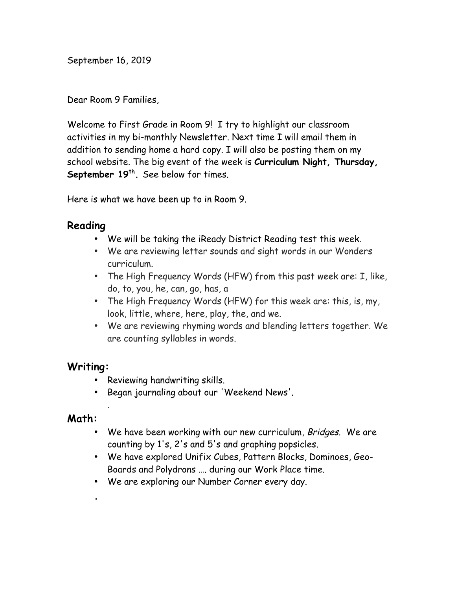September 16, 2019

Dear Room 9 Families,

Welcome to First Grade in Room 9! I try to highlight our classroom activities in my bi-monthly Newsletter. Next time I will email them in addition to sending home a hard copy. I will also be posting them on my school website. The big event of the week is **Curriculum Night, Thursday,**  September 19<sup>th</sup>. See below for times.

Here is what we have been up to in Room 9.

### **Reading**

- We will be taking the iReady District Reading test this week.
- We are reviewing letter sounds and sight words in our Wonders curriculum.
- The High Frequency Words (HFW) from this past week are: I, like, do, to, you, he, can, go, has, a
- The High Frequency Words (HFW) for this week are: this, is, my, look, little, where, here, play, the, and we.
- We are reviewing rhyming words and blending letters together. We are counting syllables in words.

#### **Writing:**

- Reviewing handwriting skills.
- Began journaling about our 'Weekend News'.

# **Math:**

**.**

- We have been working with our new curriculum, Bridges. We are counting by 1's, 2's and 5's and graphing popsicles.
- We have explored Unifix Cubes, Pattern Blocks, Dominoes, Geo-Boards and Polydrons …. during our Work Place time.
- We are exploring our Number Corner every day.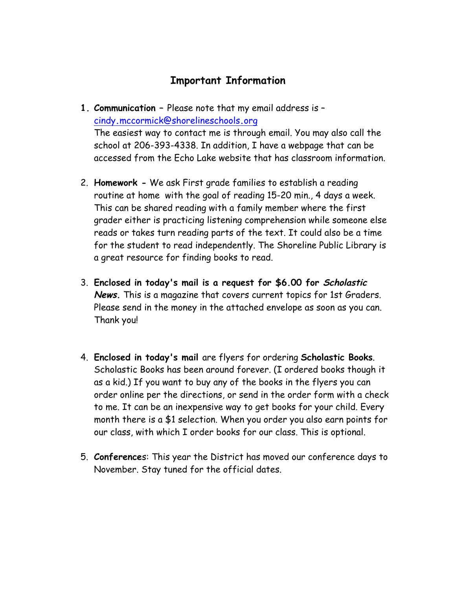# **Important Information**

**1. Communication –** Please note that my email address is – cindy**.**mccormick@shorelineschools**.**org

The easiest way to contact me is through email. You may also call the school at 206-393-4338. In addition, I have a webpage that can be accessed from the Echo Lake website that has classroom information.

- 2. **Homework -** We ask First grade families to establish a reading routine at home with the goal of reading 15-20 min., 4 days a week. This can be shared reading with a family member where the first grader either is practicing listening comprehension while someone else reads or takes turn reading parts of the text. It could also be a time for the student to read independently. The Shoreline Public Library is a great resource for finding books to read.
- 3. **Enclosed in today's mail is a request for \$6.00 for Scholastic News.** This is a magazine that covers current topics for 1st Graders. Please send in the money in the attached envelope as soon as you can. Thank you!
- 4. **Enclosed in today's mail** are flyers for ordering **Scholastic Books**. Scholastic Books has been around forever. (I ordered books though it as a kid.) If you want to buy any of the books in the flyers you can order online per the directions, or send in the order form with a check to me. It can be an inexpensive way to get books for your child. Every month there is a \$1 selection. When you order you also earn points for our class, with which I order books for our class. This is optional.
- 5. **Conference**s: This year the District has moved our conference days to November. Stay tuned for the official dates.